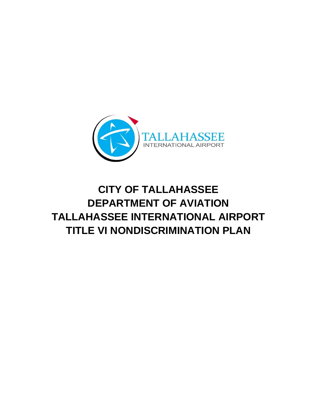

# **CITY OF TALLAHASSEE DEPARTMENT OF AVIATION TALLAHASSEE INTERNATIONAL AIRPORT TITLE VI NONDISCRIMINATION PLAN**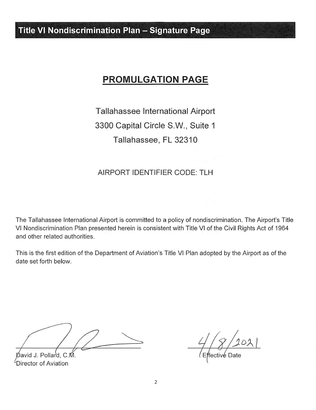**Title VI Nondiscrimination Plan - Signature Page** 

## **PROMULGATION PAGE**

Tallahassee International Airport 3300 Capital Circle S.W., Suite 1 Tallahassee, FL 32310

## AIRPORT IDENTIFIER CODE: TLH

The Tallahassee International Airport is committed to a policy of nondiscrimination. The Airport's Title VI Nondiscrimination Plan presented herein is consistent with Title VI of the Civil Rights Act of 1964 and other related authorities.

This is the first edition of the Department of Aviation's Title VI Plan adopted by the Airport as of the date set forth below.

Ďavid J. Pollard. C.M  $\mu$ Director of Aviation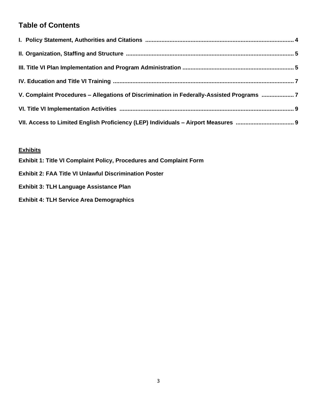## **Table of Contents**

| V. Complaint Procedures - Allegations of Discrimination in Federally-Assisted Programs  7 |  |
|-------------------------------------------------------------------------------------------|--|
|                                                                                           |  |
|                                                                                           |  |

## **Exhibits**

|  | <b>Exhibit 1: Title VI Complaint Policy, Procedures and Complaint Form</b> |
|--|----------------------------------------------------------------------------|
|  |                                                                            |

- **Exhibit 2: FAA Title VI Unlawful Discrimination Poster**
- **Exhibit 3: TLH Language Assistance Plan**
- **Exhibit 4: TLH Service Area Demographics**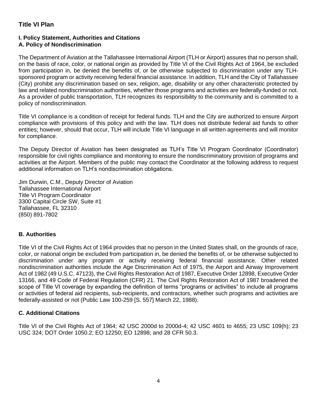## **Title VI Plan**

#### **I. Policy Statement, Authorities and Citations A. Policy of Nondiscrimination**

The Department of Aviation at the Tallahassee International Airport (TLH or Airport) assures that no person shall, on the basis of race, color, or national origin as provided by Title VI of the Civil Rights Act of 1964, be excluded from participation in, be denied the benefits of, or be otherwise subjected to discrimination under any TLHsponsored program or activity receiving federal financial assistance. In addition, TLH and the City of Tallahassee (City) prohibit any discrimination based on sex, religion, age, disability or any other characteristic protected by law and related nondiscrimination authorities, whether those programs and activities are federally-funded or not. As a provider of public transportation, TLH recognizes its responsibility to the community and is committed to a policy of nondiscrimination.

Title VI compliance is a condition of receipt for federal funds. TLH and the City are authorized to ensure Airport compliance with provisions of this policy and with the law. TLH does not distribute federal aid funds to other entities; however, should that occur, TLH will include Title VI language in all written agreements and will monitor for compliance.

The Deputy Director of Aviation has been designated as TLH's Title VI Program Coordinator (Coordinator) responsible for civil rights compliance and monitoring to ensure the nondiscriminatory provision of programs and activities at the Airport. Members of the public may contact the Coordinator at the following address to request additional information on TLH's nondiscrimination obligations.

Jim Durwin, C.M., Deputy Director of Aviation Tallahassee International Airport Title VI Program Coordinator 3300 Capital Circle SW, Suite #1 Tallahassee, FL 32310 (850) 891-7802

## **B. Authorities**

Title VI of the Civil Rights Act of 1964 provides that no person in the United States shall, on the grounds of race, color, or national origin be excluded from participation in, be denied the benefits of, or be otherwise subjected to discrimination under any program or activity receiving federal financial assistance. Other related nondiscrimination authorities include the Age Discrimination Act of 1975, the Airport and Airway Improvement Act of 1982 (49 U.S.C. 47123), the Civil Rights Restoration Act of 1987, Executive Order 12898, Executive Order 13166, and 49 Code of Federal Regulation (CFR) 21. The Civil Rights Restoration Act of 1987 broadened the scope of Title VI coverage by expanding the definition of terms "programs or activities" to include all programs or activities of federal aid recipients, sub-recipients, and contractors, whether such programs and activities are federally-assisted or not (Public Law 100-259 [S. 557] March 22, 1988).

## **C. Additional Citations**

Title VI of the Civil Rights Act of 1964; 42 USC 2000d to 2000d-4; 42 USC 4601 to 4655; 23 USC 109(h); 23 USC 324; DOT Order 1050.2; EO 12250; EO 12898; and 28 CFR 50.3.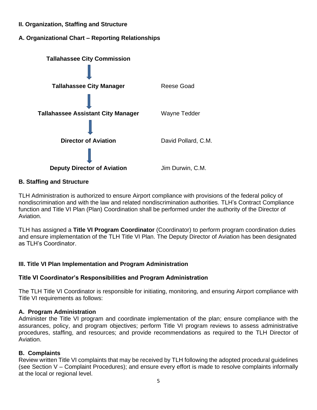- **II. Organization, Staffing and Structure**
- **A. Organizational Chart – Reporting Relationships**



## **B. Staffing and Structure**

TLH Administration is authorized to ensure Airport compliance with provisions of the federal policy of nondiscrimination and with the law and related nondiscrimination authorities. TLH's Contract Compliance function and Title VI Plan (Plan) Coordination shall be performed under the authority of the Director of Aviation.

TLH has assigned a **Title VI Program Coordinator** (Coordinator) to perform program coordination duties and ensure implementation of the TLH Title VI Plan. The Deputy Director of Aviation has been designated as TLH's Coordinator

## **III. Title VI Plan Implementation and Program Administration**

## **Title VI Coordinator's Responsibilities and Program Administration**

The TLH Title VI Coordinator is responsible for initiating, monitoring, and ensuring Airport compliance with Title VI requirements as follows:

## **A. Program Administration**

Administer the Title VI program and coordinate implementation of the plan; ensure compliance with the assurances, policy, and program objectives; perform Title VI program reviews to assess administrative procedures, staffing, and resources; and provide recommendations as required to the TLH Director of Aviation.

## **B. Complaints**

Review written Title VI complaints that may be received by TLH following the adopted procedural guidelines (see Section V – Complaint Procedures); and ensure every effort is made to resolve complaints informally at the local or regional level.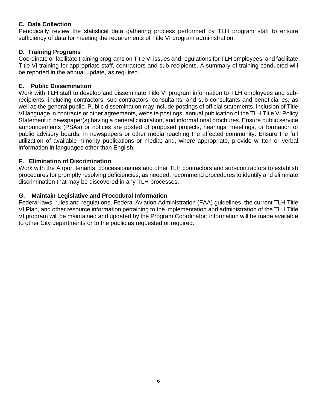## **C. Data Collection**

Periodically review the statistical data gathering process performed by TLH program staff to ensure sufficiency of data for meeting the requirements of Title VI program administration.

## **D. Training Programs**

Coordinate or facilitate training programs on Title VI issues and regulations for TLH employees; and facilitate Title VI training for appropriate staff, contractors and sub-recipients. A summary of training conducted will be reported in the annual update, as required.

## **E. Public Dissemination**

Work with TLH staff to develop and disseminate Title VI program information to TLH employees and subrecipients, including contractors, sub-contractors, consultants, and sub-consultants and beneficiaries, as well as the general public. Public dissemination may include postings of official statements, inclusion of Title VI language in contracts or other agreements, website postings, annual publication of the TLH Title VI Policy Statement in newspaper(s) having a general circulation, and informational brochures. Ensure public service announcements (PSAs) or notices are posted of proposed projects, hearings, meetings, or formation of public advisory boards, in newspapers or other media reaching the affected community. Ensure the full utilization of available minority publications or media; and, where appropriate, provide written or verbal information in languages other than English.

## **F. Elimination of Discrimination**

Work with the Airport tenants, concessionaires and other TLH contractors and sub-contractors to establish procedures for promptly resolving deficiencies, as needed; recommend procedures to identify and eliminate discrimination that may be discovered in any TLH processes.

## **G. Maintain Legislative and Procedural Information**

Federal laws, rules and regulations, Federal Aviation Administration (FAA) guidelines, the current TLH Title VI Plan, and other resource information pertaining to the implementation and administration of the TLH Title VI program will be maintained and updated by the Program Coordinator; information will be made available to other City departments or to the public as requested or required.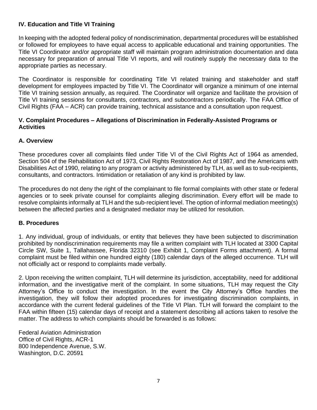## **IV. Education and Title VI Training**

In keeping with the adopted federal policy of nondiscrimination, departmental procedures will be established or followed for employees to have equal access to applicable educational and training opportunities. The Title VI Coordinator and/or appropriate staff will maintain program administration documentation and data necessary for preparation of annual Title VI reports, and will routinely supply the necessary data to the appropriate parties as necessary.

The Coordinator is responsible for coordinating Title VI related training and stakeholder and staff development for employees impacted by Title VI. The Coordinator will organize a minimum of one internal Title VI training session annually, as required. The Coordinator will organize and facilitate the provision of Title VI training sessions for consultants, contractors, and subcontractors periodically. The FAA Office of Civil Rights (FAA – ACR) can provide training, technical assistance and a consultation upon request.

### **V. Complaint Procedures – Allegations of Discrimination in Federally-Assisted Programs or Activities**

## **A. Overview**

These procedures cover all complaints filed under Title VI of the Civil Rights Act of 1964 as amended, Section 504 of the Rehabilitation Act of 1973, Civil Rights Restoration Act of 1987, and the Americans with Disabilities Act of 1990, relating to any program or activity administered by TLH, as well as to sub-recipients, consultants, and contractors. Intimidation or retaliation of any kind is prohibited by law.

The procedures do not deny the right of the complainant to file formal complaints with other state or federal agencies or to seek private counsel for complaints alleging discrimination. Every effort will be made to resolve complaints informally at TLH and the sub-recipient level. The option of informal mediation meeting(s) between the affected parties and a designated mediator may be utilized for resolution.

## **B. Procedures**

1. Any individual, group of individuals, or entity that believes they have been subjected to discrimination prohibited by nondiscrimination requirements may file a written complaint with TLH located at 3300 Capital Circle SW, Suite 1, Tallahassee, Florida 32310 (see Exhibit 1, Complaint Forms attachment). A formal complaint must be filed within one hundred eighty (180) calendar days of the alleged occurrence. TLH will not officially act or respond to complaints made verbally.

2. Upon receiving the written complaint, TLH will determine its jurisdiction, acceptability, need for additional information, and the investigative merit of the complaint. In some situations, TLH may request the City Attorney's Office to conduct the investigation. In the event the City Attorney's Office handles the investigation, they will follow their adopted procedures for investigating discrimination complaints, in accordance with the current federal guidelines of the Title VI Plan. TLH will forward the complaint to the FAA within fifteen (15) calendar days of receipt and a statement describing all actions taken to resolve the matter. The address to which complaints should be forwarded is as follows:

Federal Aviation Administration Office of Civil Rights, ACR-1 800 Independence Avenue, S.W. Washington, D.C. 20591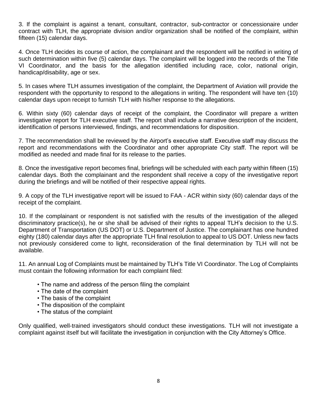3. If the complaint is against a tenant, consultant, contractor, sub-contractor or concessionaire under contract with TLH, the appropriate division and/or organization shall be notified of the complaint, within fifteen (15) calendar days.

4. Once TLH decides its course of action, the complainant and the respondent will be notified in writing of such determination within five (5) calendar days. The complaint will be logged into the records of the Title VI Coordinator, and the basis for the allegation identified including race, color, national origin, handicap/disability, age or sex.

5. In cases where TLH assumes investigation of the complaint, the Department of Aviation will provide the respondent with the opportunity to respond to the allegations in writing. The respondent will have ten (10) calendar days upon receipt to furnish TLH with his/her response to the allegations.

6. Within sixty (60) calendar days of receipt of the complaint, the Coordinator will prepare a written investigative report for TLH executive staff. The report shall include a narrative description of the incident, identification of persons interviewed, findings, and recommendations for disposition.

7. The recommendation shall be reviewed by the Airport's executive staff. Executive staff may discuss the report and recommendations with the Coordinator and other appropriate City staff. The report will be modified as needed and made final for its release to the parties.

8. Once the investigative report becomes final, briefings will be scheduled with each party within fifteen (15) calendar days. Both the complainant and the respondent shall receive a copy of the investigative report during the briefings and will be notified of their respective appeal rights.

9. A copy of the TLH investigative report will be issued to FAA - ACR within sixty (60) calendar days of the receipt of the complaint.

10. If the complainant or respondent is not satisfied with the results of the investigation of the alleged discriminatory practice(s), he or she shall be advised of their rights to appeal TLH's decision to the U.S. Department of Transportation (US DOT) or U.S. Department of Justice. The complainant has one hundred eighty (180) calendar days after the appropriate TLH final resolution to appeal to US DOT. Unless new facts not previously considered come to light, reconsideration of the final determination by TLH will not be available.

11. An annual Log of Complaints must be maintained by TLH's Title VI Coordinator. The Log of Complaints must contain the following information for each complaint filed:

- The name and address of the person filing the complaint
- The date of the complaint
- The basis of the complaint
- The disposition of the complaint
- The status of the complaint

Only qualified, well-trained investigators should conduct these investigations. TLH will not investigate a complaint against itself but will facilitate the investigation in conjunction with the City Attorney's Office.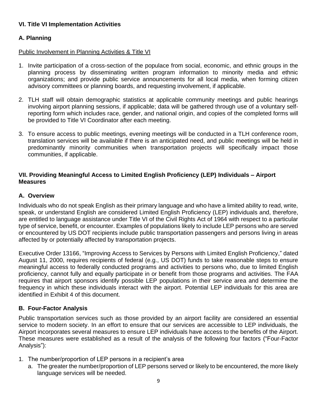## **VI. Title VI Implementation Activities**

## **A. Planning**

## Public Involvement in Planning Activities & Title VI

- 1. Invite participation of a cross-section of the populace from social, economic, and ethnic groups in the planning process by disseminating written program information to minority media and ethnic organizations; and provide public service announcements for all local media, when forming citizen advisory committees or planning boards, and requesting involvement, if applicable.
- 2. TLH staff will obtain demographic statistics at applicable community meetings and public hearings involving airport planning sessions, if applicable; data will be gathered through use of a voluntary selfreporting form which includes race, gender, and national origin, and copies of the completed forms will be provided to Title VI Coordinator after each meeting.
- 3. To ensure access to public meetings, evening meetings will be conducted in a TLH conference room, translation services will be available if there is an anticipated need, and public meetings will be held in predominantly minority communities when transportation projects will specifically impact those communities, if applicable.

## **VII. Providing Meaningful Access to Limited English Proficiency (LEP) Individuals – Airport Measures**

## **A. Overview**

Individuals who do not speak English as their primary language and who have a limited ability to read, write, speak, or understand English are considered Limited English Proficiency (LEP) individuals and, therefore, are entitled to language assistance under Title VI of the Civil Rights Act of 1964 with respect to a particular type of service, benefit, or encounter. Examples of populations likely to include LEP persons who are served or encountered by US DOT recipients include public transportation passengers and persons living in areas affected by or potentially affected by transportation projects.

Executive Order 13166, "Improving Access to Services by Persons with Limited English Proficiency," dated August 11, 2000, requires recipients of federal (e.g., US DOT) funds to take reasonable steps to ensure meaningful access to federally conducted programs and activities to persons who, due to limited English proficiency, cannot fully and equally participate in or benefit from those programs and activities. The FAA requires that airport sponsors identify possible LEP populations in their service area and determine the frequency in which these individuals interact with the airport. Potential LEP individuals for this area are identified in Exhibit 4 of this document.

## **B. Four-Factor Analysis**

Public transportation services such as those provided by an airport facility are considered an essential service to modern society. In an effort to ensure that our services are accessible to LEP individuals, the Airport incorporates several measures to ensure LEP individuals have access to the benefits of the Airport. These measures were established as a result of the analysis of the following four factors ("Four-Factor Analysis"):

- 1. The number/proportion of LEP persons in a recipient's area
	- a. The greater the number/proportion of LEP persons served or likely to be encountered, the more likely language services will be needed.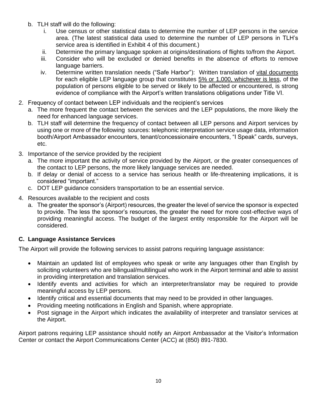- b. TLH staff will do the following:
	- i. Use census or other statistical data to determine the number of LEP persons in the service area. (The latest statistical data used to determine the number of LEP persons in TLH's service area is identified in Exhibit 4 of this document.)
	- ii. Determine the primary language spoken at origins/destinations of flights to/from the Airport.
	- iii. Consider who will be excluded or denied benefits in the absence of efforts to remove language barriers.
	- iv. Determine written translation needs ("Safe Harbor"): Written translation of vital documents for each eligible LEP language group that constitutes 5% or 1,000, whichever is less, of the population of persons eligible to be served or likely to be affected or encountered, is strong evidence of compliance with the Airport's written translations obligations under Title VI.
- 2. Frequency of contact between LEP individuals and the recipient's services
	- a. The more frequent the contact between the services and the LEP populations, the more likely the need for enhanced language services.
	- b. TLH staff will determine the frequency of contact between all LEP persons and Airport services by using one or more of the following sources: telephonic interpretation service usage data, information booth/Airport Ambassador encounters, tenant/concessionaire encounters, "I Speak" cards, surveys, etc.
- 3. Importance of the service provided by the recipient
	- a. The more important the activity of service provided by the Airport, or the greater consequences of the contact to LEP persons, the more likely language services are needed.
	- b. If delay or denial of access to a service has serious health or life-threatening implications, it is considered "important."
	- c. DOT LEP guidance considers transportation to be an essential service.
- 4. Resources available to the recipient and costs
	- a. The greater the sponsor's (Airport) resources, the greater the level of service the sponsor is expected to provide. The less the sponsor's resources, the greater the need for more cost-effective ways of providing meaningful access. The budget of the largest entity responsible for the Airport will be considered.

## **C. Language Assistance Services**

The Airport will provide the following services to assist patrons requiring language assistance:

- Maintain an updated list of employees who speak or write any languages other than English by soliciting volunteers who are bilingual/multilingual who work in the Airport terminal and able to assist in providing interpretation and translation services.
- Identify events and activities for which an interpreter/translator may be required to provide meaningful access by LEP persons.
- Identify critical and essential documents that may need to be provided in other languages.
- Providing meeting notifications in English and Spanish, where appropriate.
- Post signage in the Airport which indicates the availability of interpreter and translator services at the Airport.

Airport patrons requiring LEP assistance should notify an Airport Ambassador at the Visitor's Information Center or contact the Airport Communications Center (ACC) at (850) 891-7830.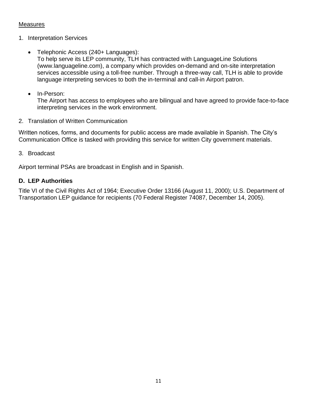## **Measures**

- 1. Interpretation Services
	- Telephonic Access (240+ Languages): To help serve its LEP community, TLH has contracted with LanguageLine Solutions (www.languageline.com), a company which provides on-demand and on-site interpretation services accessible using a toll-free number. Through a three-way call, TLH is able to provide language interpreting services to both the in-terminal and call-in Airport patron.
	- In-Person:

The Airport has access to employees who are bilingual and have agreed to provide face-to-face interpreting services in the work environment.

2. Translation of Written Communication

Written notices, forms, and documents for public access are made available in Spanish. The City's Communication Office is tasked with providing this service for written City government materials.

#### 3. Broadcast

Airport terminal PSAs are broadcast in English and in Spanish.

## **D. LEP Authorities**

Title VI of the Civil Rights Act of 1964; Executive Order 13166 (August 11, 2000); U.S. Department of Transportation LEP guidance for recipients (70 Federal Register 74087, December 14, 2005).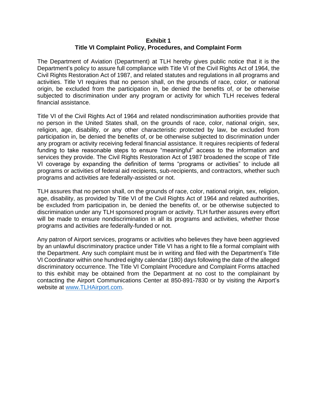#### **Exhibit 1 Title VI Complaint Policy, Procedures, and Complaint Form**

The Department of Aviation (Department) at TLH hereby gives public notice that it is the Department's policy to assure full compliance with Title VI of the Civil Rights Act of 1964, the Civil Rights Restoration Act of 1987, and related statutes and regulations in all programs and activities. Title VI requires that no person shall, on the grounds of race, color, or national origin, be excluded from the participation in, be denied the benefits of, or be otherwise subjected to discrimination under any program or activity for which TLH receives federal financial assistance.

Title VI of the Civil Rights Act of 1964 and related nondiscrimination authorities provide that no person in the United States shall, on the grounds of race, color, national origin, sex, religion, age, disability, or any other characteristic protected by law, be excluded from participation in, be denied the benefits of, or be otherwise subjected to discrimination under any program or activity receiving federal financial assistance. It requires recipients of federal funding to take reasonable steps to ensure "meaningful" access to the information and services they provide. The Civil Rights Restoration Act of 1987 broadened the scope of Title VI coverage by expanding the definition of terms "programs or activities" to include all programs or activities of federal aid recipients, sub-recipients, and contractors, whether such programs and activities are federally-assisted or not.

TLH assures that no person shall, on the grounds of race, color, national origin, sex, religion, age, disability, as provided by Title VI of the Civil Rights Act of 1964 and related authorities, be excluded from participation in, be denied the benefits of, or be otherwise subjected to discrimination under any TLH sponsored program or activity. TLH further assures every effort will be made to ensure nondiscrimination in all its programs and activities, whether those programs and activities are federally-funded or not.

Any patron of Airport services, programs or activities who believes they have been aggrieved by an unlawful discriminatory practice under Title VI has a right to file a formal complaint with the Department. Any such complaint must be in writing and filed with the Department's Title VI Coordinator within one hundred eighty calendar (180) days following the date of the alleged discriminatory occurrence. The Title VI Complaint Procedure and Complaint Forms attached to this exhibit may be obtained from the Department at no cost to the complainant by contacting the Airport Communications Center at 850-891-7830 or by visiting the Airport's website at [www.TLHAirport.com.](http://www.flytlh.com/)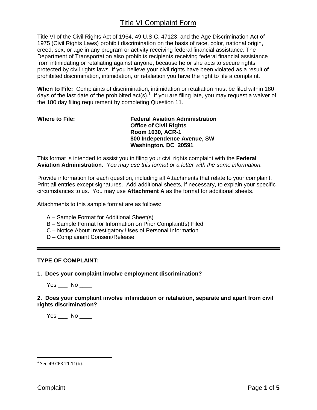Title VI of the Civil Rights Act of 1964, 49 U.S.C. 47123, and the Age Discrimination Act of 1975 (Civil Rights Laws) prohibit discrimination on the basis of race, color, national origin, creed, sex, or age in any program or activity receiving federal financial assistance. The Department of Transportation also prohibits recipients receiving federal financial assistance from intimidating or retaliating against anyone, because he or she acts to secure rights protected by civil rights laws. If you believe your civil rights have been violated as a result of prohibited discrimination, intimidation, or retaliation you have the right to file a complaint.

**When to File:** Complaints of discrimination, intimidation or retaliation must be filed within 180 days of the last date of the prohibited act(s).<sup>1</sup> If you are filing late, you may request a waiver of the 180 day filing requirement by completing Question 11.

#### **Where to File: Federal Aviation Administration Office of Civil Rights Room 1030, ACR-1 800 Independence Avenue, SW Washington, DC 20591**

This format is intended to assist you in filing your civil rights complaint with the **Federal Aviation Administration**. *You may use this format or a letter with the same information.*

Provide information for each question, including all Attachments that relate to your complaint. Print all entries except signatures. Add additional sheets, if necessary, to explain your specific circumstances to us. You may use **Attachment A** as the format for additional sheets.

Attachments to this sample format are as follows:

- A Sample Format for Additional Sheet(s)
- B Sample Format for Information on Prior Complaint(s) Filed
- C Notice About Investigatory Uses of Personal Information
- D Complainant Consent/Release

#### **TYPE OF COMPLAINT:**

**1. Does your complaint involve employment discrimination?**

Yes No  $\blacksquare$ 

#### **2. Does your complaint involve intimidation or retaliation, separate and apart from civil rights discrimination?**

 $Yes$  No  $\_\_$ 

 $^{1}$  See 49 CFR 21.11(b).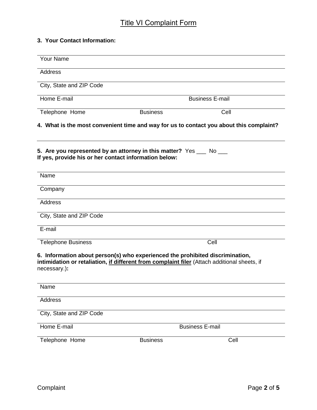## **3. Your Contact Information:**

|                                                                               | <b>Business E-mail</b>                                                                              |
|-------------------------------------------------------------------------------|-----------------------------------------------------------------------------------------------------|
| <b>Business</b>                                                               | Cell                                                                                                |
|                                                                               | 4. What is the most convenient time and way for us to contact you about this complaint?             |
| 5. Are you represented by an attorney in this matter? Yes __ No __            |                                                                                                     |
|                                                                               |                                                                                                     |
|                                                                               |                                                                                                     |
|                                                                               |                                                                                                     |
|                                                                               |                                                                                                     |
|                                                                               |                                                                                                     |
|                                                                               | Cell                                                                                                |
| 6. Information about person(s) who experienced the prohibited discrimination, | intimidation or retaliation, <i>if different from complaint filer</i> (Attach additional sheets, if |
|                                                                               |                                                                                                     |
|                                                                               |                                                                                                     |
|                                                                               |                                                                                                     |
|                                                                               | <b>Business E-mail</b>                                                                              |
| <b>Business</b>                                                               | Cell                                                                                                |
|                                                                               | If yes, provide his or her contact information below:                                               |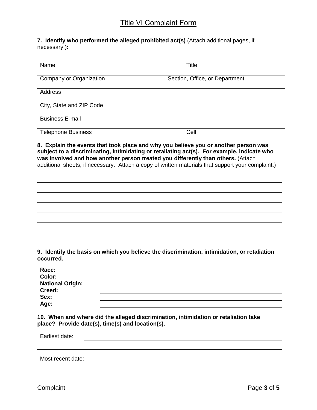#### **7. Identify who performed the alleged prohibited act(s)** (Attach additional pages, if necessary.)**:**

| Name                                                                       | <b>Title</b>                                                                                      |
|----------------------------------------------------------------------------|---------------------------------------------------------------------------------------------------|
| Company or Organization                                                    | Section, Office, or Department                                                                    |
| <b>Address</b>                                                             |                                                                                                   |
| City, State and ZIP Code                                                   |                                                                                                   |
| <b>Business E-mail</b>                                                     |                                                                                                   |
| <b>Telephone Business</b>                                                  | Cell                                                                                              |
|                                                                            | additional sheets, if necessary. Attach a copy of written materials that support your complaint.) |
|                                                                            |                                                                                                   |
| occurred.                                                                  | 9. Identify the basis on which you believe the discrimination, intimidation, or retaliation       |
| Race:<br>Color:<br><b>National Origin:</b><br>Creed:                       |                                                                                                   |
| Age:                                                                       |                                                                                                   |
| Sex:<br>place? Provide date(s), time(s) and location(s).<br>Earliest date: | 10. When and where did the alleged discrimination, intimidation or retaliation take               |

Most recent date: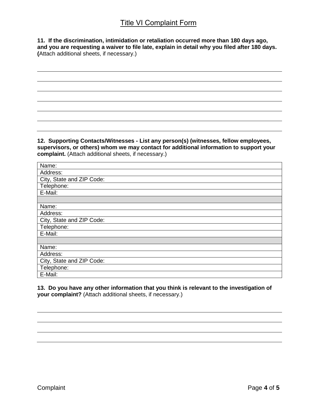**11. If the discrimination, intimidation or retaliation occurred more than 180 days ago, and you are requesting a waiver to file late, explain in detail why you filed after 180 days. (**Attach additional sheets, if necessary.)

**12. Supporting Contacts/Witnesses - List any person(s) (witnesses, fellow employees, supervisors, or others) whom we may contact for additional information to support your complaint.** (Attach additional sheets, if necessary.)

| Name:                     |
|---------------------------|
| Address:                  |
| City, State and ZIP Code: |
| Telephone:                |
| E-Mail:                   |
|                           |
| Name:                     |
| Address:                  |
| City, State and ZIP Code: |
| Telephone:                |
| E-Mail:                   |
|                           |
| Name:                     |
| Address:                  |
| City, State and ZIP Code: |
| Telephone:                |
| E-Mail:                   |

**13. Do you have any other information that you think is relevant to the investigation of your complaint?** (Attach additional sheets, if necessary.)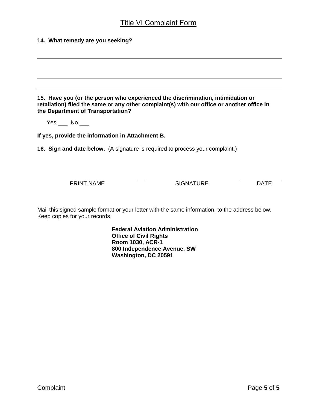| 14. What remedy are you seeking?                                                                                                         |                                                                                  |                                                                                                                                                                               |             |
|------------------------------------------------------------------------------------------------------------------------------------------|----------------------------------------------------------------------------------|-------------------------------------------------------------------------------------------------------------------------------------------------------------------------------|-------------|
|                                                                                                                                          |                                                                                  |                                                                                                                                                                               |             |
|                                                                                                                                          |                                                                                  |                                                                                                                                                                               |             |
| the Department of Transportation?                                                                                                        |                                                                                  | 15. Have you (or the person who experienced the discrimination, intimidation or<br>retaliation) filed the same or any other complaint(s) with our office or another office in |             |
| $Yes$ No $\_\_$                                                                                                                          |                                                                                  |                                                                                                                                                                               |             |
| If yes, provide the information in Attachment B.<br><b>16. Sign and date below.</b> (A signature is required to process your complaint.) |                                                                                  |                                                                                                                                                                               |             |
|                                                                                                                                          |                                                                                  |                                                                                                                                                                               |             |
|                                                                                                                                          |                                                                                  |                                                                                                                                                                               |             |
| <b>PRINT NAME</b>                                                                                                                        |                                                                                  | <b>SIGNATURE</b>                                                                                                                                                              | <b>DATE</b> |
| Keep copies for your records.                                                                                                            |                                                                                  | Mail this signed sample format or your letter with the same information, to the address below.                                                                                |             |
|                                                                                                                                          | <b>Office of Civil Rights</b><br><b>Room 1030, ACR-1</b><br>Washington, DC 20591 | <b>Federal Aviation Administration</b><br>800 Independence Avenue, SW                                                                                                         |             |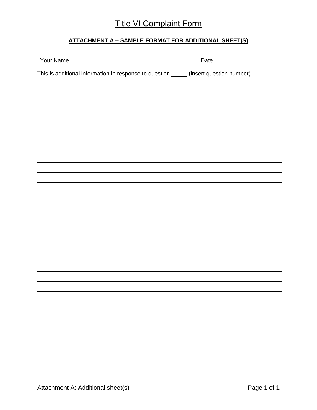## **ATTACHMENT A – SAMPLE FORMAT FOR ADDITIONAL SHEET(S)**

| Your Name                                                                              | Date |
|----------------------------------------------------------------------------------------|------|
| This is additional information in response to question _____ (insert question number). |      |
|                                                                                        |      |
|                                                                                        |      |
|                                                                                        |      |
|                                                                                        |      |
|                                                                                        |      |
|                                                                                        |      |
|                                                                                        |      |
|                                                                                        |      |
|                                                                                        |      |
|                                                                                        |      |
|                                                                                        |      |
|                                                                                        |      |
|                                                                                        |      |
|                                                                                        |      |
|                                                                                        |      |
|                                                                                        |      |
|                                                                                        |      |
|                                                                                        |      |
|                                                                                        |      |
|                                                                                        |      |
|                                                                                        |      |
|                                                                                        |      |
|                                                                                        |      |
|                                                                                        |      |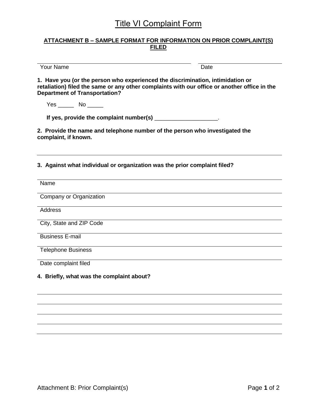#### **ATTACHMENT B – SAMPLE FORMAT FOR INFORMATION ON PRIOR COMPLAINT(S) FILED**

Your Name

**1. Have you (or the person who experienced the discrimination, intimidation or retaliation) filed the same or any other complaints with our office or another office in the Department of Transportation?**

Yes \_\_\_\_\_\_ No \_\_\_\_\_

**If yes, provide the complaint number(s)** \_\_\_\_\_\_\_\_\_\_\_\_\_\_\_\_\_\_\_\_.

**2. Provide the name and telephone number of the person who investigated the complaint, if known.**

**3. Against what individual or organization was the prior complaint filed?**

| Name                                      |
|-------------------------------------------|
| Company or Organization                   |
| <b>Address</b>                            |
| City, State and ZIP Code                  |
| <b>Business E-mail</b>                    |
| <b>Telephone Business</b>                 |
| Date complaint filed                      |
| 4. Briefly, what was the complaint about? |
|                                           |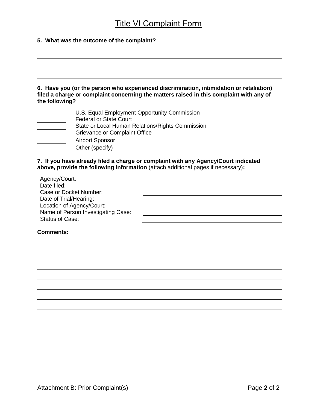#### **5. What was the outcome of the complaint?**

**6. Have you (or the person who experienced discrimination, intimidation or retaliation) filed a charge or complaint concerning the matters raised in this complaint with any of the following?**

- U.S. Equal Employment Opportunity Commission
- Federal or State Court  $\overline{\phantom{a}}$
- State or Local Human Relations/Rights Commission  $\overline{\phantom{a}}$
- $\overline{\phantom{a}}$ Grievance or Complaint Office
- Airport Sponsor
- Other (specify)

#### **7. If you have already filed a charge or complaint with any Agency/Court indicated above, provide the following information** (attach additional pages if necessary)**:**

| Agency/Court:                      |  |
|------------------------------------|--|
| Date filed:                        |  |
| Case or Docket Number:             |  |
| Date of Trial/Hearing:             |  |
| Location of Agency/Court:          |  |
| Name of Person Investigating Case: |  |
| <b>Status of Case:</b>             |  |
|                                    |  |

#### **Comments:**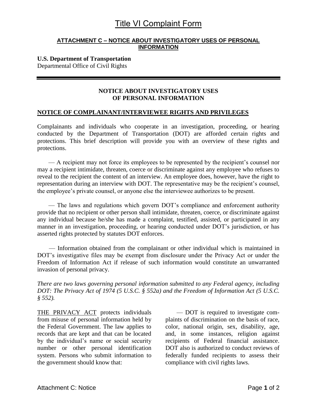#### **ATTACHMENT C – NOTICE ABOUT INVESTIGATORY USES OF PERSONAL INFORMATION**

## **U.S. Department of Transportation**

Departmental Office of Civil Rights

## **NOTICE ABOUT INVESTIGATORY USES OF PERSONAL INFORMATION**

#### **NOTICE OF COMPLAINANT/INTERVIEWEE RIGHTS AND PRIVILEGES**

Complainants and individuals who cooperate in an investigation, proceeding, or hearing conducted by the Department of Transportation (DOT) are afforded certain rights and protections. This brief description will provide you with an overview of these rights and protections.

— A recipient may not force its employees to be represented by the recipient's counsel nor may a recipient intimidate, threaten, coerce or discriminate against any employee who refuses to reveal to the recipient the content of an interview. An employee does, however, have the right to representation during an interview with DOT. The representative may be the recipient's counsel, the employee's private counsel, or anyone else the interviewee authorizes to be present.

— The laws and regulations which govern DOT's compliance and enforcement authority provide that no recipient or other person shall intimidate, threaten, coerce, or discriminate against any individual because he/she has made a complaint, testified, assisted, or participated in any manner in an investigation, proceeding, or hearing conducted under DOT's jurisdiction, or has asserted rights protected by statutes DOT enforces.

— Information obtained from the complainant or other individual which is maintained in DOT's investigative files may be exempt from disclosure under the Privacy Act or under the Freedom of Information Act if release of such information would constitute an unwarranted invasion of personal privacy.

*There are two laws governing personal information submitted to any Federal agency, including DOT: The Privacy Act of 1974 (5 U.S.C. § 552a) and the Freedom of Information Act (5 U.S.C. § 552).*

THE PRIVACY ACT protects individuals from misuse of personal information held by the Federal Government. The law applies to records that are kept and that can be located by the individual's name or social security number or other personal identification system. Persons who submit information to the government should know that:

— DOT is required to investigate complaints of discrimination on the basis of race, color, national origin, sex, disability, age, and, in some instances, religion against recipients of Federal financial assistance. DOT also is authorized to conduct reviews of federally funded recipients to assess their compliance with civil rights laws.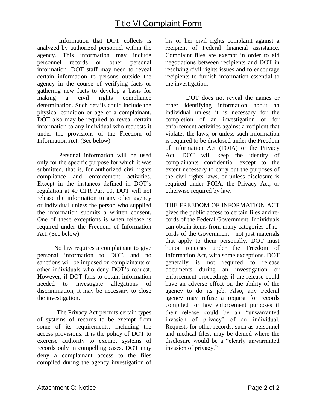— Information that DOT collects is analyzed by authorized personnel within the agency. This information may include personnel records or other personal information. DOT staff may need to reveal certain information to persons outside the agency in the course of verifying facts or gathering new facts to develop a basis for making a civil rights compliance determination. Such details could include the physical condition or age of a complainant. DOT also may be required to reveal certain information to any individual who requests it under the provisions of the Freedom of Information Act. (See below)

— Personal information will be used only for the specific purpose for which it was submitted, that is, for authorized civil rights compliance and enforcement activities. Except in the instances defined in DOT's regulation at 49 CFR Part 10, DOT will not release the information to any other agency or individual unless the person who supplied the information submits a written consent. One of these exceptions is when release is required under the Freedom of Information Act. (See below)

– No law requires a complainant to give personal information to DOT, and no sanctions will be imposed on complainants or other individuals who deny DOT's request. However, if DOT fails to obtain information needed to investigate allegations of discrimination, it may be necessary to close the investigation.

— The Privacy Act permits certain types of systems of records to be exempt from some of its requirements, including the access provisions. It is the policy of DOT to exercise authority to exempt systems of records only in compelling cases. DOT may deny a complainant access to the files compiled during the agency investigation of his or her civil rights complaint against a recipient of Federal financial assistance. Complaint files are exempt in order to aid negotiations between recipients and DOT in resolving civil rights issues and to encourage recipients to furnish information essential to the investigation.

— DOT does not reveal the names or other identifying information about an individual unless it is necessary for the completion of an investigation or for enforcement activities against a recipient that violates the laws, or unless such information is required to be disclosed under the Freedom of Information Act (FOIA) or the Privacy Act. DOT will keep the identity of complainants confidential except to the extent necessary to carry out the purposes of the civil rights laws, or unless disclosure is required under FOIA, the Privacy Act, or otherwise required by law.

THE FREEDOM OF INFORMATION ACT

gives the public access to certain files and records of the Federal Government. Individuals can obtain items from many categories of records of the Government—not just materials that apply to them personally. DOT must honor requests under the Freedom of Information Act, with some exceptions. DOT generally is not required to release documents during an investigation or enforcement proceedings if the release could have an adverse effect on the ability of the agency to do its job. Also, any Federal agency may refuse a request for records compiled for law enforcement purposes if their release could be an "unwarranted invasion of privacy" of an individual. Requests for other records, such as personnel and medical files, may be denied where the disclosure would be a "clearly unwarranted invasion of privacy."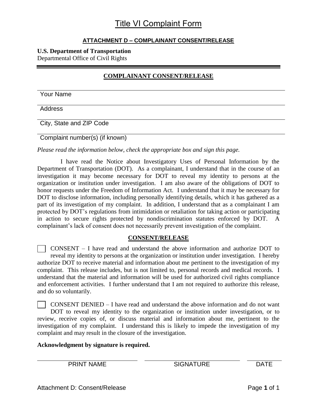## **ATTACHMENT D – COMPLAINANT CONSENT/RELEASE**

## **U.S. Department of Transportation**

Departmental Office of Civil Rights

## **COMPLAINANT CONSENT/RELEASE**

Your Name

Address

City, State and ZIP Code

Complaint number(s) (if known)

*Please read the information below, check the appropriate box and sign this page.*

I have read the Notice about Investigatory Uses of Personal Information by the Department of Transportation (DOT). As a complainant, I understand that in the course of an investigation it may become necessary for DOT to reveal my identity to persons at the organization or institution under investigation. I am also aware of the obligations of DOT to honor requests under the Freedom of Information Act. I understand that it may be necessary for DOT to disclose information, including personally identifying details, which it has gathered as a part of its investigation of my complaint. In addition, I understand that as a complainant I am protected by DOT's regulations from intimidation or retaliation for taking action or participating in action to secure rights protected by nondiscrimination statutes enforced by DOT. A complainant's lack of consent does not necessarily prevent investigation of the complaint.

## **CONSENT/RELEASE**

CONSENT – I have read and understand the above information and authorize DOT to reveal my identity to persons at the organization or institution under investigation. I hereby authorize DOT to receive material and information about me pertinent to the investigation of my complaint. This release includes, but is not limited to, personal records and medical records. I understand that the material and information will be used for authorized civil rights compliance and enforcement activities. I further understand that I am not required to authorize this release, and do so voluntarily.

CONSENT DENIED – I have read and understand the above information and do not want DOT to reveal my identity to the organization or institution under investigation, or to review, receive copies of, or discuss material and information about me, pertinent to the investigation of my complaint. I understand this is likely to impede the investigation of my complaint and may result in the closure of the investigation.

**Acknowledgment by signature is required.**

PRINT NAME SIGNATURE DATE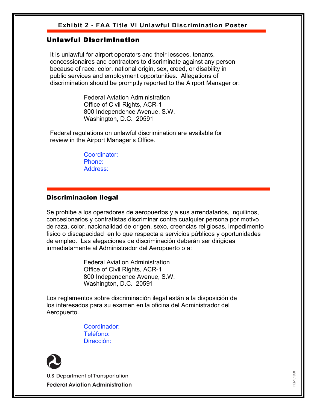## **Exhibit 2 - FAA Title VI Unlawful Discrimination Poster**

## Unlawful Discrimination

 It is unlawful for airport operators and their lessees, tenants, concessionaires and contractors to discriminate against any person because of race, color, national origin, sex, creed, or disability in public services and employment opportunities. Allegations of discrimination should be promptly reported to the Airport Manager or:

> Federal Aviation Administration Office of Civil Rights, ACR-1 800 Independence Avenue, S.W. Washington, D.C. 20591

 Federal regulations on unlawful discrimination are available for review in the Airport Manager's Office.

> Coordinator: Phone: Address:

## Discriminacion Ilegal

Se prohibe a los operadores de aeropuertos y a sus arrendatarios, inquilinos, concesionarios y contratistas discriminar contra cualquier persona por motivo de raza, color, nacionalidad de origen, sexo, creencias religiosas, impedimento fisico o discapacidad en lo que respecta a servicios públicos y oportunidades de empleo. Las alegaciones de discriminación deberán ser dirigidas inmediatamente al Administrador del Aeropuerto o a:

> Federal Aviation Administration Office of Civil Rights, ACR-1 800 Independence Avenue, S.W. Washington, D.C. 20591

U.S. Department of Transportation

Los reglamentos sobre discriminación ilegal están a la disposición de los interesados para su examen en la oficina del Administrador del Aeropuerto.

> Coordinador: Teléfono: Dirección:



**U.S. Department of Transportation Federal Aviation Administration** 

HQ-101098 HQ-101098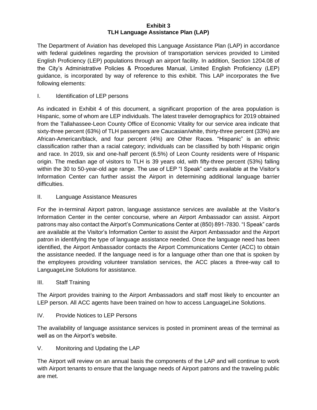#### **Exhibit 3 TLH Language Assistance Plan (LAP)**

The Department of Aviation has developed this Language Assistance Plan (LAP) in accordance with federal guidelines regarding the provision of transportation services provided to Limited English Proficiency (LEP) populations through an airport facility. In addition, Section 1204.08 of the City's Administrative Policies & Procedures Manual, Limited English Proficiency (LEP) guidance, is incorporated by way of reference to this exhibit. This LAP incorporates the five following elements:

#### I. Identification of LEP persons

As indicated in Exhibit 4 of this document, a significant proportion of the area population is Hispanic, some of whom are LEP individuals. The latest traveler demographics for 2019 obtained from the Tallahassee-Leon County Office of Economic Vitality for our service area indicate that sixty-three percent (63%) of TLH passengers are Caucasian/white, thirty-three percent (33%) are African-American/black, and four percent (4%) are Other Races. "Hispanic" is an ethnic classification rather than a racial category; individuals can be classified by both Hispanic origin and race. In 2019, six and one-half percent (6.5%) of Leon County residents were of Hispanic origin. The median age of visitors to TLH is 39 years old, with fifty-three percent (53%) falling within the 30 to 50-year-old age range. The use of LEP "I Speak" cards available at the Visitor's Information Center can further assist the Airport in determining additional language barrier difficulties.

#### II. Language Assistance Measures

For the in-terminal Airport patron, language assistance services are available at the Visitor's Information Center in the center concourse, where an Airport Ambassador can assist. Airport patrons may also contact the Airport's Communications Center at (850) 891-7830. "I Speak" cards are available at the Visitor's Information Center to assist the Airport Ambassador and the Airport patron in identifying the type of language assistance needed. Once the language need has been identified, the Airport Ambassador contacts the Airport Communications Center (ACC) to obtain the assistance needed. If the language need is for a language other than one that is spoken by the employees providing volunteer translation services, the ACC places a three-way call to LanguageLine Solutions for assistance.

#### III. Staff Training

The Airport provides training to the Airport Ambassadors and staff most likely to encounter an LEP person. All ACC agents have been trained on how to access LanguageLine Solutions.

IV. Provide Notices to LEP Persons

The availability of language assistance services is posted in prominent areas of the terminal as well as on the Airport's website.

V. Monitoring and Updating the LAP

The Airport will review on an annual basis the components of the LAP and will continue to work with Airport tenants to ensure that the language needs of Airport patrons and the traveling public are met.